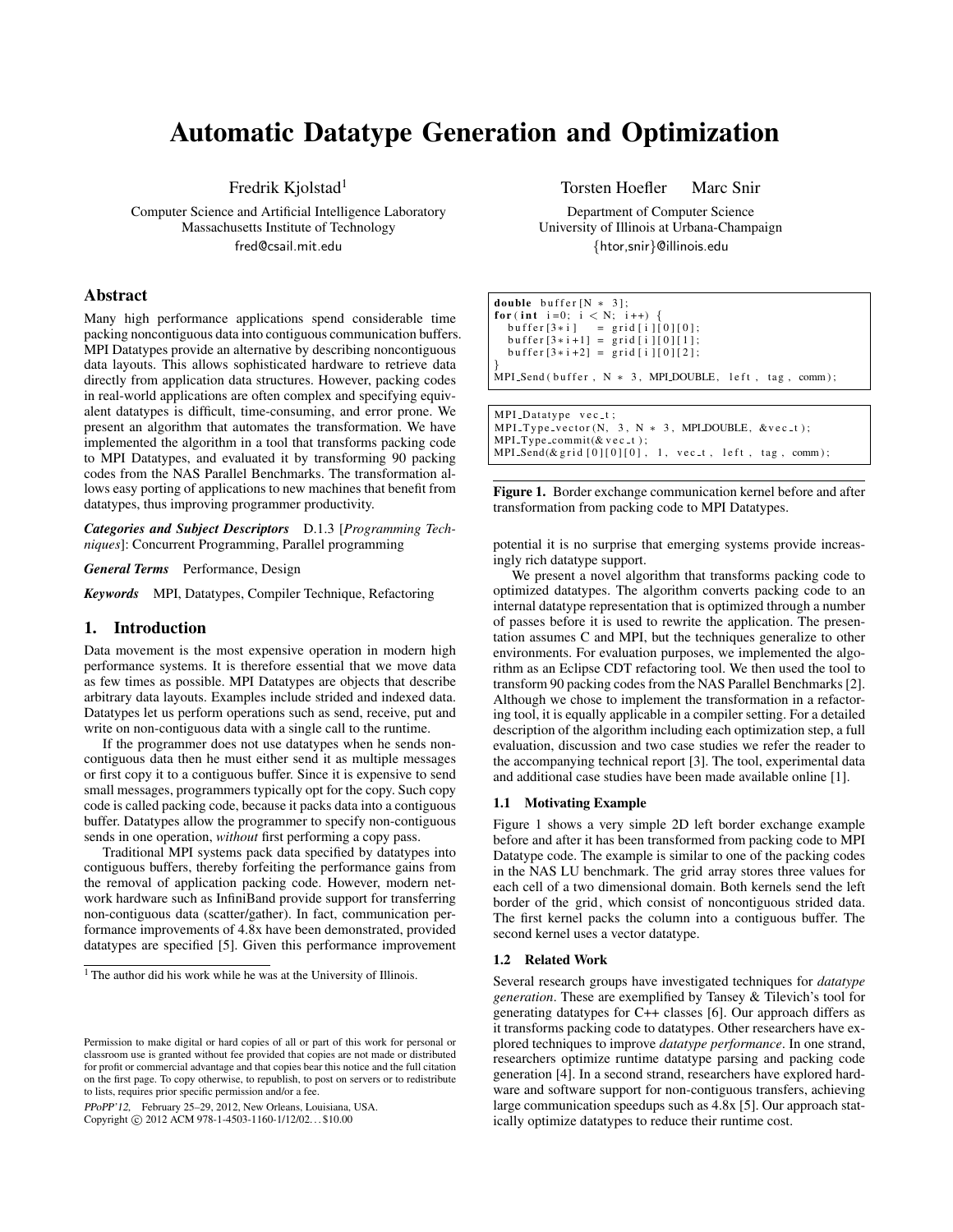# Automatic Datatype Generation and Optimization

Fredrik Kjolstad<sup>1</sup>

Computer Science and Artificial Intelligence Laboratory Massachusetts Institute of Technology fred@csail.mit.edu

# Abstract

Many high performance applications spend considerable time packing noncontiguous data into contiguous communication buffers. MPI Datatypes provide an alternative by describing noncontiguous data layouts. This allows sophisticated hardware to retrieve data directly from application data structures. However, packing codes in real-world applications are often complex and specifying equivalent datatypes is difficult, time-consuming, and error prone. We present an algorithm that automates the transformation. We have implemented the algorithm in a tool that transforms packing code to MPI Datatypes, and evaluated it by transforming 90 packing codes from the NAS Parallel Benchmarks. The transformation allows easy porting of applications to new machines that benefit from datatypes, thus improving programmer productivity.

*Categories and Subject Descriptors* D.1.3 [*Programming Techniques*]: Concurrent Programming, Parallel programming

*General Terms* Performance, Design

*Keywords* MPI, Datatypes, Compiler Technique, Refactoring

## 1. Introduction

Data movement is the most expensive operation in modern high performance systems. It is therefore essential that we move data as few times as possible. MPI Datatypes are objects that describe arbitrary data layouts. Examples include strided and indexed data. Datatypes let us perform operations such as send, receive, put and write on non-contiguous data with a single call to the runtime.

If the programmer does not use datatypes when he sends noncontiguous data then he must either send it as multiple messages or first copy it to a contiguous buffer. Since it is expensive to send small messages, programmers typically opt for the copy. Such copy code is called packing code, because it packs data into a contiguous buffer. Datatypes allow the programmer to specify non-contiguous sends in one operation, *without* first performing a copy pass.

Traditional MPI systems pack data specified by datatypes into contiguous buffers, thereby forfeiting the performance gains from the removal of application packing code. However, modern network hardware such as InfiniBand provide support for transferring non-contiguous data (scatter/gather). In fact, communication performance improvements of 4.8x have been demonstrated, provided datatypes are specified [\[5\]](#page-1-0). Given this performance improvement

PPoPP'12, February 25–29, 2012, New Orleans, Louisiana, USA.

Copyright © 2012 ACM 978-1-4503-1160-1/12/02... \$10.00

Torsten Hoefler Marc Snir

Department of Computer Science University of Illinois at Urbana-Champaign {htor,snir}@illinois.edu

| <b>double</b> buffer $[N * 3]$ ;                              |
|---------------------------------------------------------------|
| for (int i=0; i < N; i++) {                                   |
| $buffer[3*i] = grid[i][0][0];$                                |
| $buffer[3* i+1] = grid[i][0][1];$                             |
| $buffer [3*i+2] = grid [i] [0] [2];$                          |
|                                                               |
| MPI_Send(buffer, $N \times 3$ , MPI_DOUBLE, left, tag, comm); |
|                                                               |
| MPI_Datatype vec_t;                                           |

MPI\_Datatype vec\_t;<br>MPI\_Type\_vector(N, 3, N \* 3, MPI\_DOUBLE, &vec\_t);  $MPI$ -Type-commit(& v e c -t);  $MPI\_Send(\& grid[0][0][0], 1, vec_t, left, tag, comm);$ 

<span id="page-0-0"></span>Figure 1. Border exchange communication kernel before and after transformation from packing code to MPI Datatypes.

potential it is no surprise that emerging systems provide increasingly rich datatype support.

We present a novel algorithm that transforms packing code to optimized datatypes. The algorithm converts packing code to an internal datatype representation that is optimized through a number of passes before it is used to rewrite the application. The presentation assumes C and MPI, but the techniques generalize to other environments. For evaluation purposes, we implemented the algorithm as an Eclipse CDT refactoring tool. We then used the tool to transform 90 packing codes from the NAS Parallel Benchmarks [\[2\]](#page-1-1). Although we chose to implement the transformation in a refactoring tool, it is equally applicable in a compiler setting. For a detailed description of the algorithm including each optimization step, a full evaluation, discussion and two case studies we refer the reader to the accompanying technical report [\[3\]](#page-1-2). The tool, experimental data and additional case studies have been made available online [\[1\]](#page-1-3).

### 1.1 Motivating Example

Figure [1](#page-0-0) shows a very simple 2D left border exchange example before and after it has been transformed from packing code to MPI Datatype code. The example is similar to one of the packing codes in the NAS LU benchmark. The grid array stores three values for each cell of a two dimensional domain. Both kernels send the left border of the grid, which consist of noncontiguous strided data. The first kernel packs the column into a contiguous buffer. The second kernel uses a vector datatype.

#### 1.2 Related Work

Several research groups have investigated techniques for *datatype generation*. These are exemplified by Tansey & Tilevich's tool for generating datatypes for C++ classes [\[6\]](#page-1-4). Our approach differs as it transforms packing code to datatypes. Other researchers have explored techniques to improve *datatype performance*. In one strand, researchers optimize runtime datatype parsing and packing code generation [\[4\]](#page-1-5). In a second strand, researchers have explored hardware and software support for non-contiguous transfers, achieving large communication speedups such as 4.8x [\[5\]](#page-1-0). Our approach statically optimize datatypes to reduce their runtime cost.

<sup>1</sup> The author did his work while he was at the University of Illinois.

Permission to make digital or hard copies of all or part of this work for personal or classroom use is granted without fee provided that copies are not made or distributed for profit or commercial advantage and that copies bear this notice and the full citation on the first page. To copy otherwise, to republish, to post on servers or to redistribute to lists, requires prior specific permission and/or a fee.